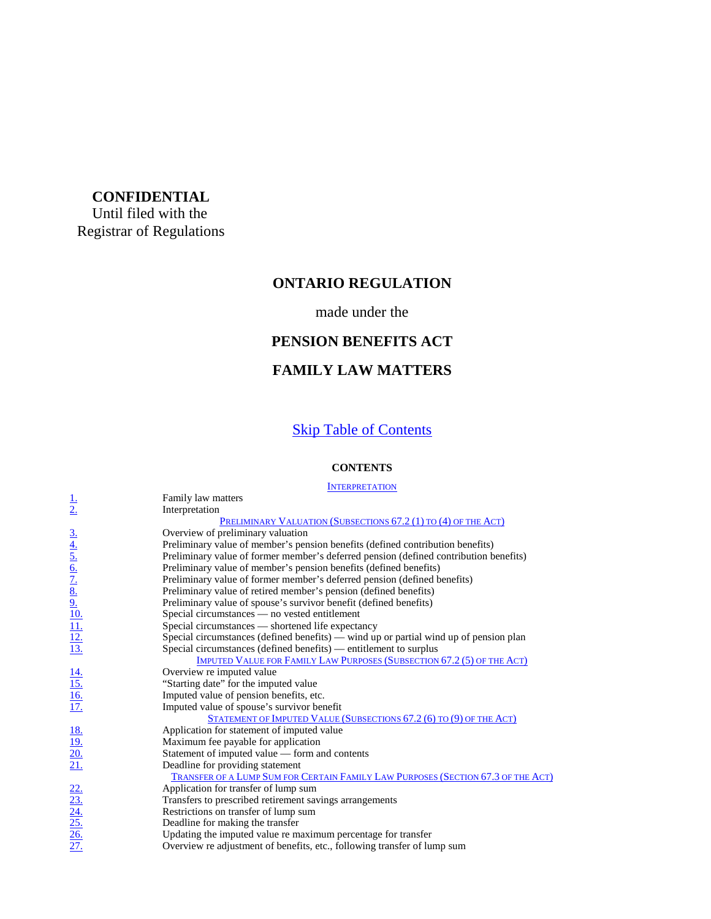## **CONFIDENTIAL**

Until filed with the Registrar of Regulations

#### **ONTARIO REGULATION**

#### made under the

#### **PENSION BENEFITS ACT**

#### **FAMILY LAW MATTERS**

#### **Skip Table of Contents**

#### **CONTENTS**

#### **INTERPRETATION**

|                                                                               | Family law matters                                                                      |
|-------------------------------------------------------------------------------|-----------------------------------------------------------------------------------------|
| $\frac{1}{2}$                                                                 | Interpretation                                                                          |
|                                                                               | <b>PRELIMINARY VALUATION (SUBSECTIONS 67.2 (1) TO (4) OF THE ACT)</b>                   |
|                                                                               | Overview of preliminary valuation                                                       |
|                                                                               | Preliminary value of member's pension benefits (defined contribution benefits)          |
|                                                                               | Preliminary value of former member's deferred pension (defined contribution benefits)   |
|                                                                               | Preliminary value of member's pension benefits (defined benefits)                       |
|                                                                               | Preliminary value of former member's deferred pension (defined benefits)                |
|                                                                               | Preliminary value of retired member's pension (defined benefits)                        |
|                                                                               | Preliminary value of spouse's survivor benefit (defined benefits)                       |
|                                                                               | Special circumstances — no vested entitlement                                           |
| $\frac{3.4}{4.5.6}$ $\frac{6.7}{2.8}$ $\frac{8.9}{2.10}$ $\frac{11.1}{12.13}$ | Special circumstances — shortened life expectancy                                       |
|                                                                               | Special circumstances (defined benefits) — wind up or partial wind up of pension plan   |
|                                                                               | Special circumstances (defined benefits) — entitlement to surplus                       |
|                                                                               | <b>IMPUTED VALUE FOR FAMILY LAW PURPOSES (SUBSECTION 67.2 (5) OF THE ACT)</b>           |
|                                                                               | Overview re imputed value                                                               |
|                                                                               | "Starting date" for the imputed value                                                   |
| $\frac{14}{15}$<br>$\frac{16}{17}$                                            | Imputed value of pension benefits, etc.                                                 |
|                                                                               | Imputed value of spouse's survivor benefit                                              |
|                                                                               | STATEMENT OF IMPUTED VALUE (SUBSECTIONS 67.2 (6) TO (9) OF THE ACT)                     |
|                                                                               | Application for statement of imputed value                                              |
|                                                                               | Maximum fee payable for application                                                     |
| $\frac{18.}{19.}$<br>$\frac{20.}{21.}$                                        | Statement of imputed value - form and contents                                          |
|                                                                               | Deadline for providing statement                                                        |
|                                                                               | <b>TRANSFER OF A LUMP SUM FOR CERTAIN FAMILY LAW PURPOSES (SECTION 67.3 OF THE ACT)</b> |
|                                                                               | Application for transfer of lump sum                                                    |
|                                                                               | Transfers to prescribed retirement savings arrangements                                 |
|                                                                               | Restrictions on transfer of lump sum                                                    |
|                                                                               | Deadline for making the transfer                                                        |
| $\frac{22}{23}$ .<br>23.<br>24.<br>25.<br>26.                                 | Updating the imputed value re maximum percentage for transfer                           |
|                                                                               | Overview re adjustment of benefits, etc., following transfer of lump sum                |
|                                                                               |                                                                                         |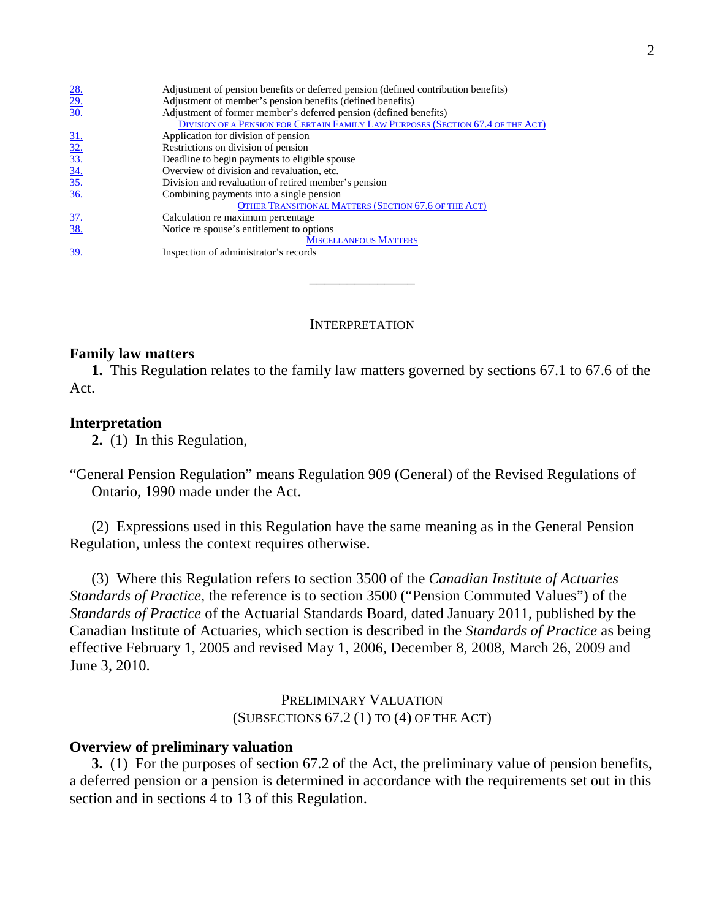|                                                       | Adjustment of pension benefits or deferred pension (defined contribution benefits) |
|-------------------------------------------------------|------------------------------------------------------------------------------------|
| $\frac{28}{29}$<br>$\frac{29}{30}$                    | Adjustment of member's pension benefits (defined benefits)                         |
|                                                       | Adjustment of former member's deferred pension (defined benefits)                  |
|                                                       | DIVISION OF A PENSION FOR CERTAIN FAMILY LAW PURPOSES (SECTION 67.4 OF THE ACT)    |
|                                                       | Application for division of pension                                                |
| $\frac{31.}{32.}$ $\frac{33.}{34.}$ $\frac{34.}{35.}$ | Restrictions on division of pension                                                |
|                                                       | Deadline to begin payments to eligible spouse                                      |
|                                                       | Overview of division and revaluation, etc.                                         |
|                                                       | Division and revaluation of retired member's pension                               |
|                                                       | Combining payments into a single pension                                           |
|                                                       | OTHER TRANSITIONAL MATTERS (SECTION 67.6 OF THE ACT)                               |
|                                                       | Calculation re maximum percentage                                                  |
| $\frac{37}{38}$                                       | Notice re spouse's entitlement to options                                          |
|                                                       | <b>MISCELLANEOUS MATTERS</b>                                                       |
| 39.                                                   | Inspection of administrator's records                                              |

#### INTERPRETATION

\_\_\_\_\_\_\_\_\_\_\_\_\_\_

#### **Family law matters**

 **1.** This Regulation relates to the family law matters governed by sections 67.1 to 67.6 of the Act.

#### **Interpretation**

 **2.** (1) In this Regulation,

 "General Pension Regulation" means Regulation 909 (General) of the Revised Regulations of Ontario, 1990 made under the Act.

 Regulation, unless the context requires otherwise. (2) Expressions used in this Regulation have the same meaning as in the General Pension

 *Standards of Practice*, the reference is to section 3500 ("Pension Commuted Values") of the  *Standards of Practice* of the Actuarial Standards Board, dated January 2011, published by the Canadian Institute of Actuaries, which section is described in the *Standards of Practice* as being effective February 1, 2005 and revised May 1, 2006, December 8, 2008, March 26, 2009 and June 3, 2010. (3) Where this Regulation refers to section 3500 of the *Canadian Institute of Actuaries* 

> (SUBSECTIONS 67.2 (1) TO (4) OF THE ACT) PRELIMINARY VALUATION

#### **Overview of preliminary valuation**

 **3.** (1) For the purposes of section 67.2 of the Act, the preliminary value of pension benefits, a deferred pension or a pension is determined in accordance with the requirements set out in this section and in sections 4 to 13 of this Regulation.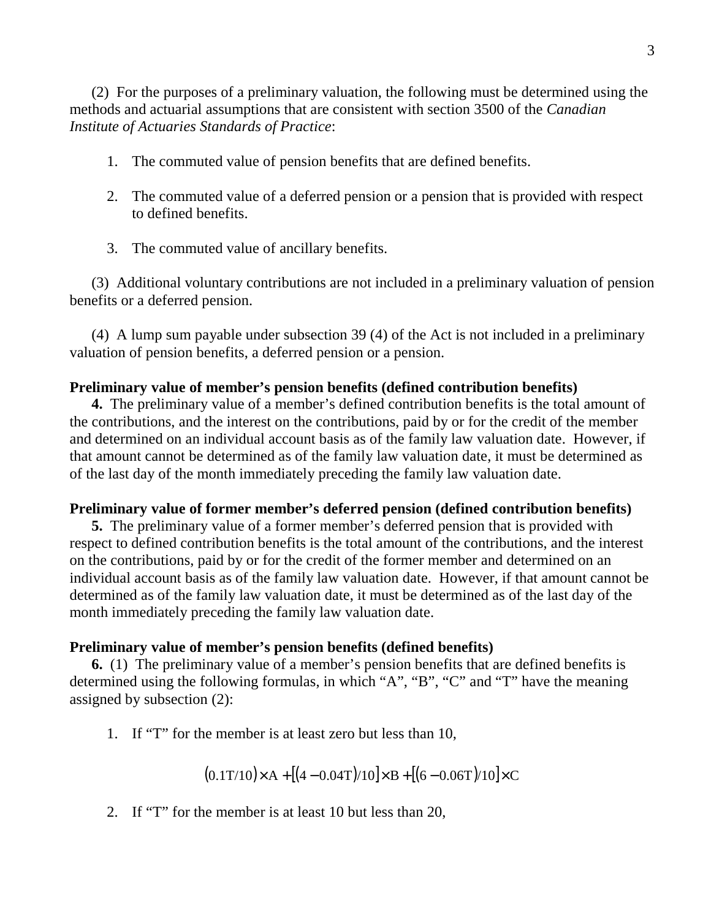methods and actuarial assumptions that are consistent with section 3500 of the *Canadian Institute of Actuaries Standards of Practice*: (2) For the purposes of a preliminary valuation, the following must be determined using the

- 1. The commuted value of pension benefits that are defined benefits.
- to defined benefits. 2. The commuted value of a deferred pension or a pension that is provided with respect
- 3. The commuted value of ancillary benefits.

 benefits or a deferred pension. (3) Additional voluntary contributions are not included in a preliminary valuation of pension

 valuation of pension benefits, a deferred pension or a pension. (4) A lump sum payable under subsection 39 (4) of the Act is not included in a preliminary

## **Preliminary value of member's pension benefits (defined contribution benefits)**

 **4.** The preliminary value of a member's defined contribution benefits is the total amount of the contributions, and the interest on the contributions, paid by or for the credit of the member and determined on an individual account basis as of the family law valuation date. However, if that amount cannot be determined as of the family law valuation date, it must be determined as of the last day of the month immediately preceding the family law valuation date.

# **Preliminary value of former member's deferred pension (defined contribution benefits)**

**5.** The preliminary value of a former member's deferred pension that is provided with respect to defined contribution benefits is the total amount of the contributions, and the interest on the contributions, paid by or for the credit of the former member and determined on an individual account basis as of the family law valuation date. However, if that amount cannot be determined as of the family law valuation date, it must be determined as of the last day of the month immediately preceding the family law valuation date.

## **Preliminary value of member's pension benefits (defined benefits)**

**6.** (1) The preliminary value of a member's pension benefits that are defined benefits is determined using the following formulas, in which "A", "B", "C" and "T" have the meaning assigned by subsection (2):

1. If "T" for the member is at least zero but less than 10,

 $(0.1T/10) \times A + [(4 - 0.04T)/10] \times B + [(6 - 0.06T)/10] \times C$ 

2. If "T" for the member is at least 10 but less than 20,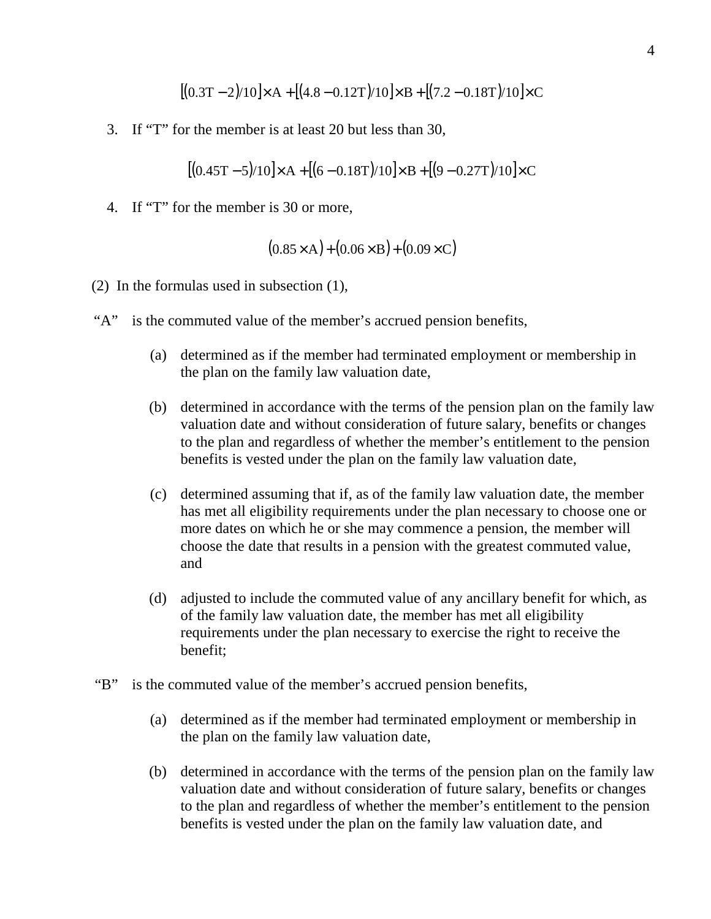$$
[(0.3T-2)/10] \times A + [(4.8-0.12T)/10] \times B + [(7.2-0.18T)/10] \times C
$$

3. If "T" for the member is at least 20 but less than 30,

 $[(0.45T - 5)/10] \times A + [(6 - 0.18T)/10] \times B + [(9 - 0.27T)/10] \times C$ 

4. If "T" for the member is 30 or more,

$$
(0.85 \times A) + (0.06 \times B) + (0.09 \times C)
$$

- (2) In the formulas used in subsection (1),
- "A" is the commuted value of the member's accrued pension benefits,
	- (a) determined as if the member had terminated employment or membership in the plan on the family law valuation date,
	- (b) determined in accordance with the terms of the pension plan on the family law valuation date and without consideration of future salary, benefits or changes to the plan and regardless of whether the member's entitlement to the pension benefits is vested under the plan on the family law valuation date,
	- (c) determined assuming that if, as of the family law valuation date, the member has met all eligibility requirements under the plan necessary to choose one or more dates on which he or she may commence a pension, the member will choose the date that results in a pension with the greatest commuted value, and
	- (d) adjusted to include the commuted value of any ancillary benefit for which, as of the family law valuation date, the member has met all eligibility requirements under the plan necessary to exercise the right to receive the benefit;
- "B" is the commuted value of the member's accrued pension benefits,
	- (a) determined as if the member had terminated employment or membership in the plan on the family law valuation date,
	- (b) determined in accordance with the terms of the pension plan on the family law valuation date and without consideration of future salary, benefits or changes to the plan and regardless of whether the member's entitlement to the pension benefits is vested under the plan on the family law valuation date, and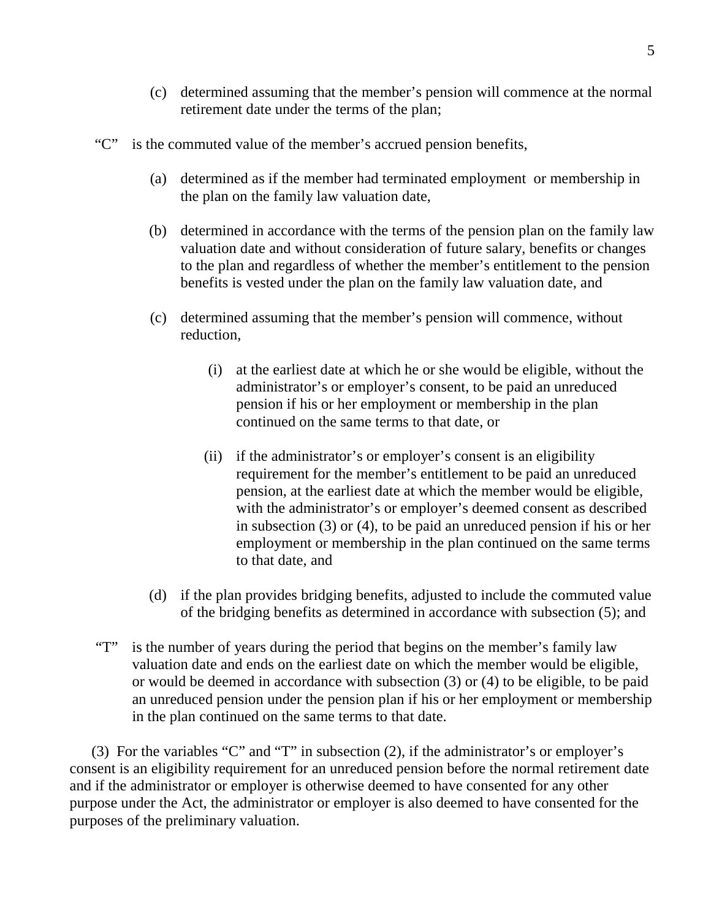- (c) determined assuming that the member's pension will commence at the normal retirement date under the terms of the plan;
- "C" is the commuted value of the member's accrued pension benefits,
	- (a) determined as if the member had terminated employment or membership in the plan on the family law valuation date,
	- (b) determined in accordance with the terms of the pension plan on the family law valuation date and without consideration of future salary, benefits or changes to the plan and regardless of whether the member's entitlement to the pension benefits is vested under the plan on the family law valuation date, and
	- (c) determined assuming that the member's pension will commence, without reduction.
		- reduction,<br>(i) at the earliest date at which he or she would be eligible, without the administrator's or employer's consent, to be paid an unreduced pension if his or her employment or membership in the plan continued on the same terms to that date, or
			- (ii) if the administrator's or employer's consent is an eligibility requirement for the member's entitlement to be paid an unreduced pension, at the earliest date at which the member would be eligible, with the administrator's or employer's deemed consent as described in subsection (3) or (4), to be paid an unreduced pension if his or her employment or membership in the plan continued on the same terms to that date, and
	- (d) if the plan provides bridging benefits, adjusted to include the commuted value of the bridging benefits as determined in accordance with subsection (5); and
- valuation date and ends on the earliest date on which the member would be eligible, or would be deemed in accordance with subsection (3) or (4) to be eligible, to be paid an unreduced pension under the pension plan if his or her employment or membership in the plan continued on the same terms to that date. "T" is the number of years during the period that begins on the member's family law

 consent is an eligibility requirement for an unreduced pension before the normal retirement date and if the administrator or employer is otherwise deemed to have consented for any other purpose under the Act, the administrator or employer is also deemed to have consented for the purposes of the preliminary valuation. (3) For the variables "C" and "T" in subsection (2), if the administrator's or employer's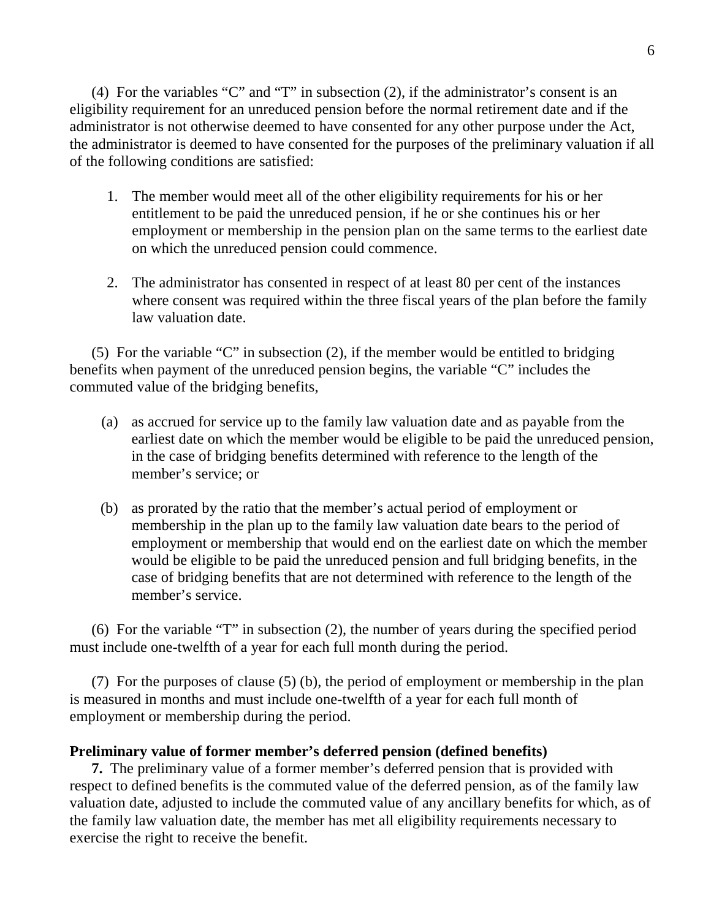eligibility requirement for an unreduced pension before the normal retirement date and if the administrator is not otherwise deemed to have consented for any other purpose under the Act, the administrator is deemed to have consented for the purposes of the preliminary valuation if all of the following conditions are satisfied: (4) For the variables "C" and "T" in subsection (2), if the administrator's consent is an

- entitlement to be paid the unreduced pension, if he or she continues his or her employment or membership in the pension plan on the same terms to the earliest date on which the unreduced pension could commence. 1. The member would meet all of the other eligibility requirements for his or her
- where consent was required within the three fiscal years of the plan before the family law valuation date. 2. The administrator has consented in respect of at least 80 per cent of the instances

 benefits when payment of the unreduced pension begins, the variable "C" includes the commuted value of the bridging benefits, (5) For the variable "C" in subsection (2), if the member would be entitled to bridging

- earliest date on which the member would be eligible to be paid the unreduced pension, in the case of bridging benefits determined with reference to the length of the member's service; or (a) as accrued for service up to the family law valuation date and as payable from the
- membership in the plan up to the family law valuation date bears to the period of employment or membership that would end on the earliest date on which the member would be eligible to be paid the unreduced pension and full bridging benefits, in the case of bridging benefits that are not determined with reference to the length of the member's service. (b) as prorated by the ratio that the member's actual period of employment or

 must include one-twelfth of a year for each full month during the period. (6) For the variable "T" in subsection (2), the number of years during the specified period

 is measured in months and must include one-twelfth of a year for each full month of employment or membership during the period. (7) For the purposes of clause (5) (b), the period of employment or membership in the plan

# **Preliminary value of former member's deferred pension (defined benefits)**

 **7.** The preliminary value of a former member's deferred pension that is provided with respect to defined benefits is the commuted value of the deferred pension, as of the family law valuation date, adjusted to include the commuted value of any ancillary benefits for which, as of the family law valuation date, the member has met all eligibility requirements necessary to exercise the right to receive the benefit.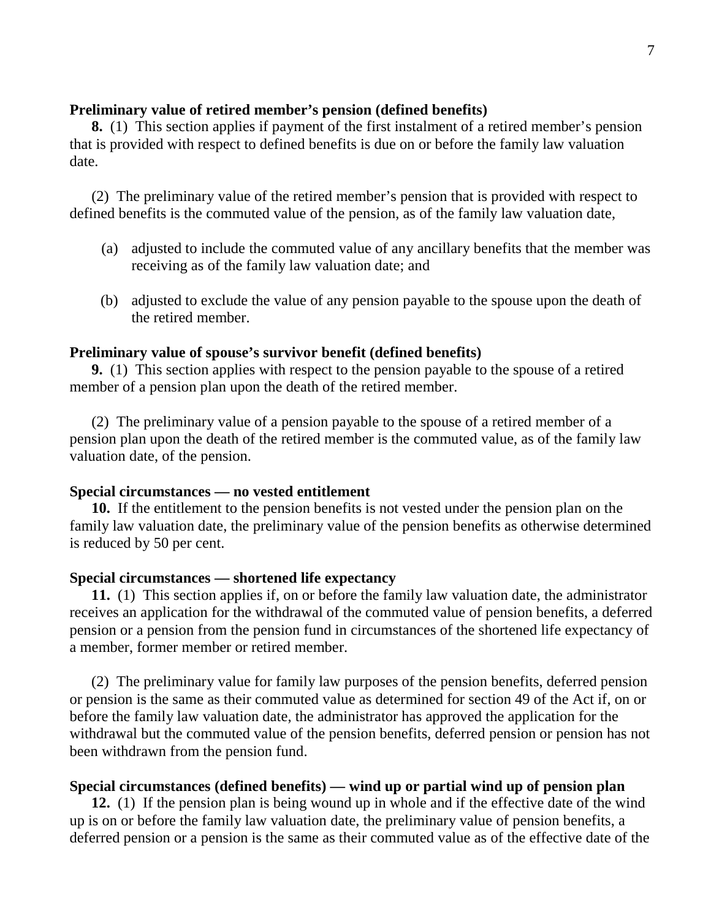### **Preliminary value of retired member's pension (defined benefits)**

 **8.** (1) This section applies if payment of the first instalment of a retired member's pension that is provided with respect to defined benefits is due on or before the family law valuation date.

 defined benefits is the commuted value of the pension, as of the family law valuation date, (2) The preliminary value of the retired member's pension that is provided with respect to

- receiving as of the family law valuation date; and (a) adjusted to include the commuted value of any ancillary benefits that the member was
- the retired member. (b) adjusted to exclude the value of any pension payable to the spouse upon the death of

#### **Preliminary value of spouse's survivor benefit (defined benefits)**

 **9.** (1) This section applies with respect to the pension payable to the spouse of a retired member of a pension plan upon the death of the retired member.

 pension plan upon the death of the retired member is the commuted value, as of the family law valuation date, of the pension. (2) The preliminary value of a pension payable to the spouse of a retired member of a

#### **Special circumstances — no vested entitlement**

 **10.** If the entitlement to the pension benefits is not vested under the pension plan on the family law valuation date, the preliminary value of the pension benefits as otherwise determined is reduced by 50 per cent.

#### **Special circumstances — shortened life expectancy**

**11.** (1) This section applies if, on or before the family law valuation date, the administrator receives an application for the withdrawal of the commuted value of pension benefits, a deferred pension or a pension from the pension fund in circumstances of the shortened life expectancy of a member, former member or retired member.

 or pension is the same as their commuted value as determined for section 49 of the Act if, on or before the family law valuation date, the administrator has approved the application for the withdrawal but the commuted value of the pension benefits, deferred pension or pension has not been withdrawn from the pension fund. (2) The preliminary value for family law purposes of the pension benefits, deferred pension

#### **Special circumstances (defined benefits) — wind up or partial wind up of pension plan**

**12.** (1) If the pension plan is being wound up in whole and if the effective date of the wind up is on or before the family law valuation date, the preliminary value of pension benefits, a deferred pension or a pension is the same as their commuted value as of the effective date of the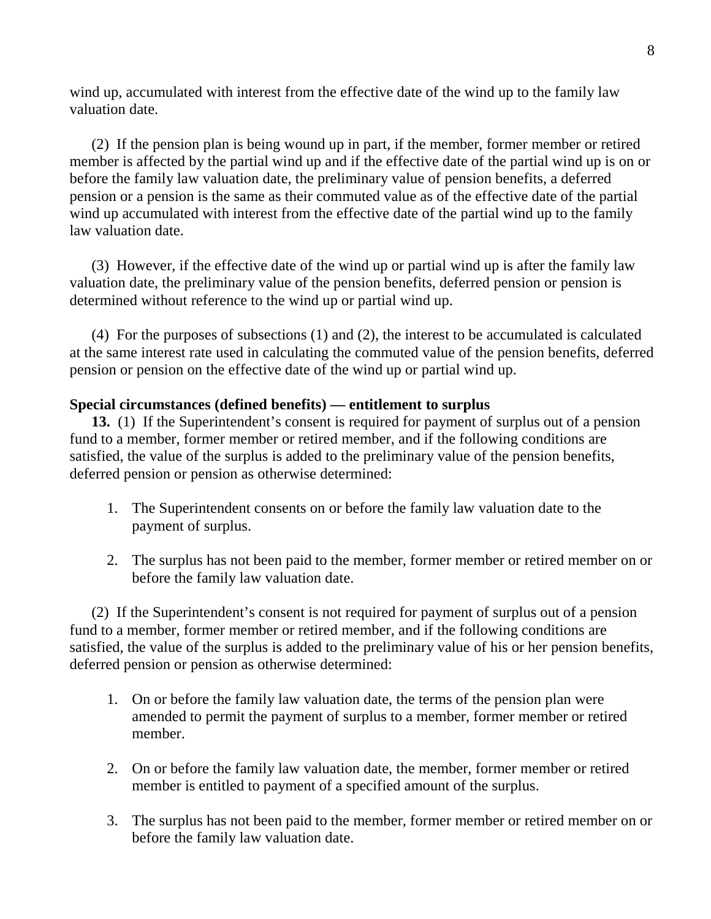wind up, accumulated with interest from the effective date of the wind up to the family law valuation date.

 member is affected by the partial wind up and if the effective date of the partial wind up is on or before the family law valuation date, the preliminary value of pension benefits, a deferred pension or a pension is the same as their commuted value as of the effective date of the partial wind up accumulated with interest from the effective date of the partial wind up to the family law valuation date. (2) If the pension plan is being wound up in part, if the member, former member or retired

 valuation date, the preliminary value of the pension benefits, deferred pension or pension is determined without reference to the wind up or partial wind up. (3) However, if the effective date of the wind up or partial wind up is after the family law

 at the same interest rate used in calculating the commuted value of the pension benefits, deferred pension or pension on the effective date of the wind up or partial wind up. (4) For the purposes of subsections (1) and (2), the interest to be accumulated is calculated

## **Special circumstances (defined benefits) — entitlement to surplus**

**13.** (1) If the Superintendent's consent is required for payment of surplus out of a pension fund to a member, former member or retired member, and if the following conditions are satisfied, the value of the surplus is added to the preliminary value of the pension benefits, deferred pension or pension as otherwise determined:

- payment of surplus. 1. The Superintendent consents on or before the family law valuation date to the
- before the family law valuation date. 2. The surplus has not been paid to the member, former member or retired member on or

 fund to a member, former member or retired member, and if the following conditions are satisfied, the value of the surplus is added to the preliminary value of his or her pension benefits, deferred pension or pension as otherwise determined: (2) If the Superintendent's consent is not required for payment of surplus out of a pension

- amended to permit the payment of surplus to a member, former member or retired 1. On or before the family law valuation date, the terms of the pension plan were member.
- member is entitled to payment of a specified amount of the surplus. 2. On or before the family law valuation date, the member, former member or retired
- before the family law valuation date. 3. The surplus has not been paid to the member, former member or retired member on or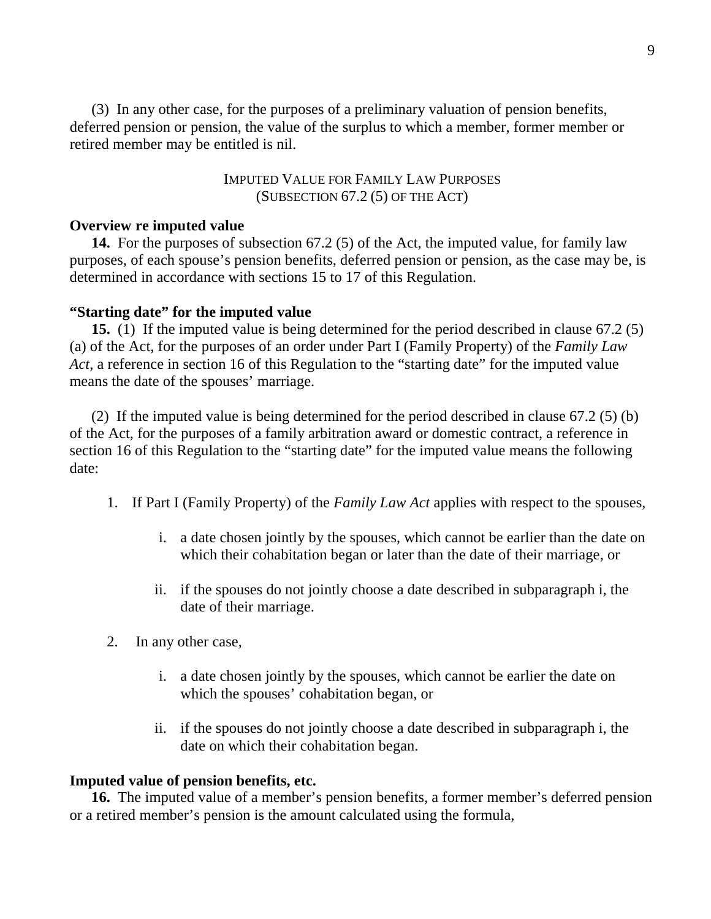deferred pension or pension, the value of the surplus to which a member, former member or retired member may be entitled is nil. (3) In any other case, for the purposes of a preliminary valuation of pension benefits,

> IMPUTED VALUE FOR FAMILY LAW PURPOSES (SUBSECTION 67.2 (5) OF THE ACT)

### **Overview re imputed value**

**14.** For the purposes of subsection 67.2 (5) of the Act, the imputed value, for family law purposes, of each spouse's pension benefits, deferred pension or pension, as the case may be, is determined in accordance with sections 15 to 17 of this Regulation.

### **"Starting date" for the imputed value**

**15.** (1) If the imputed value is being determined for the period described in clause 67.2 (5) (a) of the Act, for the purposes of an order under Part I (Family Property) of the *Family Law Act*, a reference in section 16 of this Regulation to the "starting date" for the imputed value means the date of the spouses' marriage.

 of the Act, for the purposes of a family arbitration award or domestic contract, a reference in section 16 of this Regulation to the "starting date" for the imputed value means the following (2) If the imputed value is being determined for the period described in clause 67.2 (5) (b) date:

- 1. If Part I (Family Property) of the *Family Law Act* applies with respect to the spouses,
	- i. a date chosen jointly by the spouses, which cannot be earlier than the date on which their cohabitation began or later than the date of their marriage, or
	- ii. if the spouses do not jointly choose a date described in subparagraph i, the date of their marriage.
- 2. In any other case,
	- i. a date chosen jointly by the spouses, which cannot be earlier the date on which the spouses' cohabitation began, or
	- ii. if the spouses do not jointly choose a date described in subparagraph i, the date on which their cohabitation began.

### **Imputed value of pension benefits, etc.**

**16.** The imputed value of a member's pension benefits, a former member's deferred pension or a retired member's pension is the amount calculated using the formula,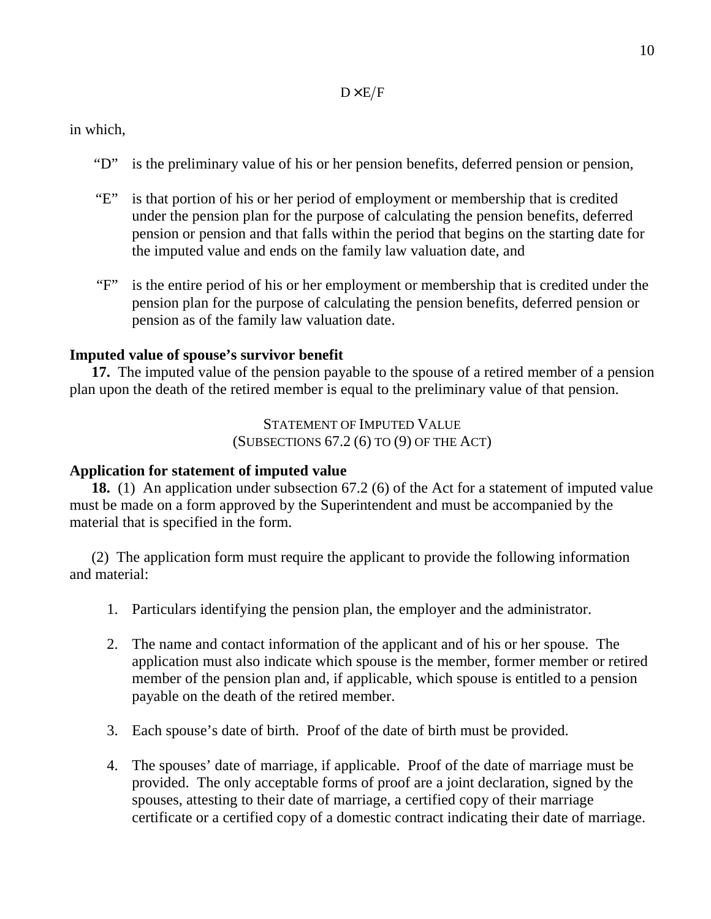### $D \times E/F$

in which,

- "D" is the preliminary value of his or her pension benefits, deferred pension or pension,
- under the pension plan for the purpose of calculating the pension benefits, deferred pension or pension and that falls within the period that begins on the starting date for the imputed value and ends on the family law valuation date, and "E" is that portion of his or her period of employment or membership that is credited
- pension plan for the purpose of calculating the pension benefits, deferred pension or pension as of the family law valuation date. "F" is the entire period of his or her employment or membership that is credited under the

## **Imputed value of spouse's survivor benefit**

17. The imputed value of the pension payable to the spouse of a retired member of a pension plan upon the death of the retired member is equal to the preliminary value of that pension.

> STATEMENT OF IMPUTED VALUE (SUBSECTIONS 67.2 (6) TO (9) OF THE ACT)

### **Application for statement of imputed value**

**18.** (1) An application under subsection 67.2 (6) of the Act for a statement of imputed value must be made on a form approved by the Superintendent and must be accompanied by the material that is specified in the form.

 and material: (2) The application form must require the applicant to provide the following information

- 1. Particulars identifying the pension plan, the employer and the administrator.
- application must also indicate which spouse is the member, former member or retired member of the pension plan and, if applicable, which spouse is entitled to a pension payable on the death of the retired member. 2. The name and contact information of the applicant and of his or her spouse. The
- 3. Each spouse's date of birth. Proof of the date of birth must be provided.
- provided. The only acceptable forms of proof are a joint declaration, signed by the spouses, attesting to their date of marriage, a certified copy of their marriage certificate or a certified copy of a domestic contract indicating their date of marriage. 4. The spouses' date of marriage, if applicable. Proof of the date of marriage must be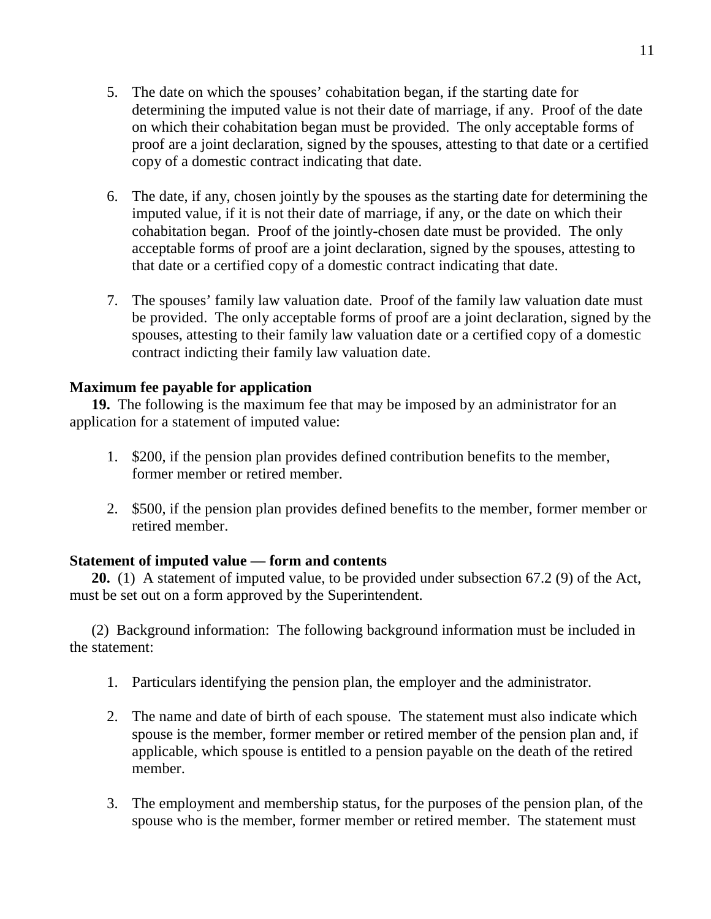- determining the imputed value is not their date of marriage, if any. Proof of the date on which their cohabitation began must be provided. The only acceptable forms of proof are a joint declaration, signed by the spouses, attesting to that date or a certified copy of a domestic contract indicating that date. 5. The date on which the spouses' cohabitation began, if the starting date for
- imputed value, if it is not their date of marriage, if any, or the date on which their cohabitation began. Proof of the jointly-chosen date must be provided. The only acceptable forms of proof are a joint declaration, signed by the spouses, attesting to that date or a certified copy of a domestic contract indicating that date. 6. The date, if any, chosen jointly by the spouses as the starting date for determining the
- be provided. The only acceptable forms of proof are a joint declaration, signed by the spouses, attesting to their family law valuation date or a certified copy of a domestic contract indicting their family law valuation date. 7. The spouses' family law valuation date. Proof of the family law valuation date must

## **Maximum fee payable for application**

19. The following is the maximum fee that may be imposed by an administrator for an application for a statement of imputed value:

- former member or retired member. 1. \$200, if the pension plan provides defined contribution benefits to the member,
- retired member. 2. \$500, if the pension plan provides defined benefits to the member, former member or

### **Statement of imputed value — form and contents**

 **20.** (1) A statement of imputed value, to be provided under subsection 67.2 (9) of the Act, must be set out on a form approved by the Superintendent.

 the statement: (2) Background information: The following background information must be included in

- 1. Particulars identifying the pension plan, the employer and the administrator.
- spouse is the member, former member or retired member of the pension plan and, if applicable, which spouse is entitled to a pension payable on the death of the retired 2. The name and date of birth of each spouse. The statement must also indicate which member.
- spouse who is the member, former member or retired member. The statement must 3. The employment and membership status, for the purposes of the pension plan, of the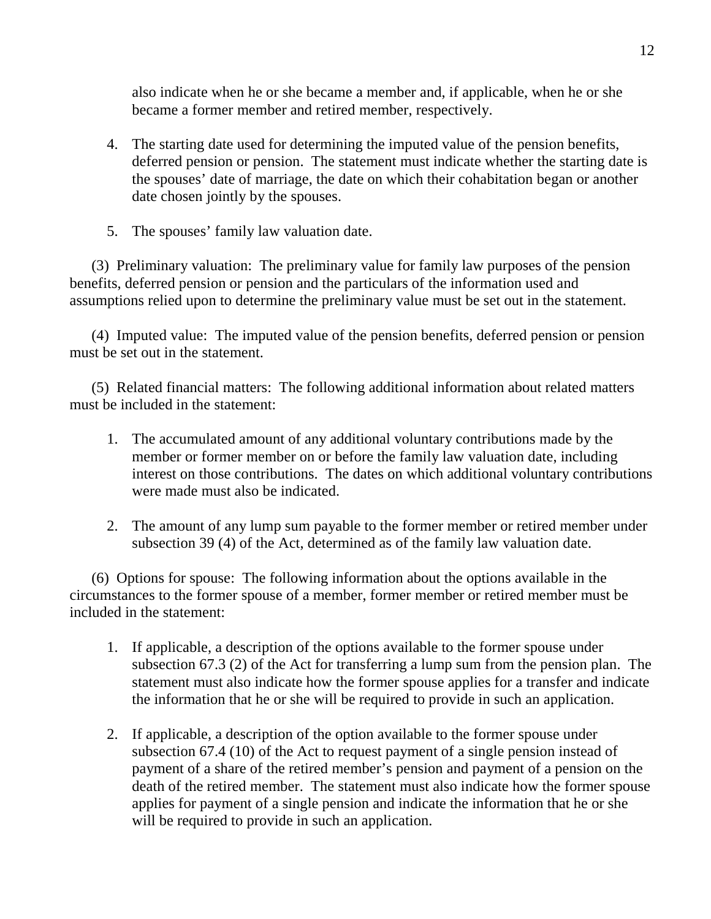also indicate when he or she became a member and, if applicable, when he or she became a former member and retired member, respectively.

- deferred pension or pension. The statement must indicate whether the starting date is the spouses' date of marriage, the date on which their cohabitation began or another date chosen jointly by the spouses. 4. The starting date used for determining the imputed value of the pension benefits,
- 5. The spouses' family law valuation date.

 benefits, deferred pension or pension and the particulars of the information used and assumptions relied upon to determine the preliminary value must be set out in the statement. (3) Preliminary valuation: The preliminary value for family law purposes of the pension

 must be set out in the statement. (4) Imputed value: The imputed value of the pension benefits, deferred pension or pension

 must be included in the statement: (5) Related financial matters: The following additional information about related matters

- member or former member on or before the family law valuation date, including interest on those contributions. The dates on which additional voluntary contributions were made must also be indicated. 1. The accumulated amount of any additional voluntary contributions made by the
- subsection 39 (4) of the Act, determined as of the family law valuation date. 2. The amount of any lump sum payable to the former member or retired member under

 circumstances to the former spouse of a member, former member or retired member must be included in the statement: (6) Options for spouse: The following information about the options available in the

- subsection 67.3 (2) of the Act for transferring a lump sum from the pension plan. The statement must also indicate how the former spouse applies for a transfer and indicate the information that he or she will be required to provide in such an application. 1. If applicable, a description of the options available to the former spouse under
- subsection 67.4 (10) of the Act to request payment of a single pension instead of payment of a share of the retired member's pension and payment of a pension on the death of the retired member. The statement must also indicate how the former spouse applies for payment of a single pension and indicate the information that he or she will be required to provide in such an application. 2. If applicable, a description of the option available to the former spouse under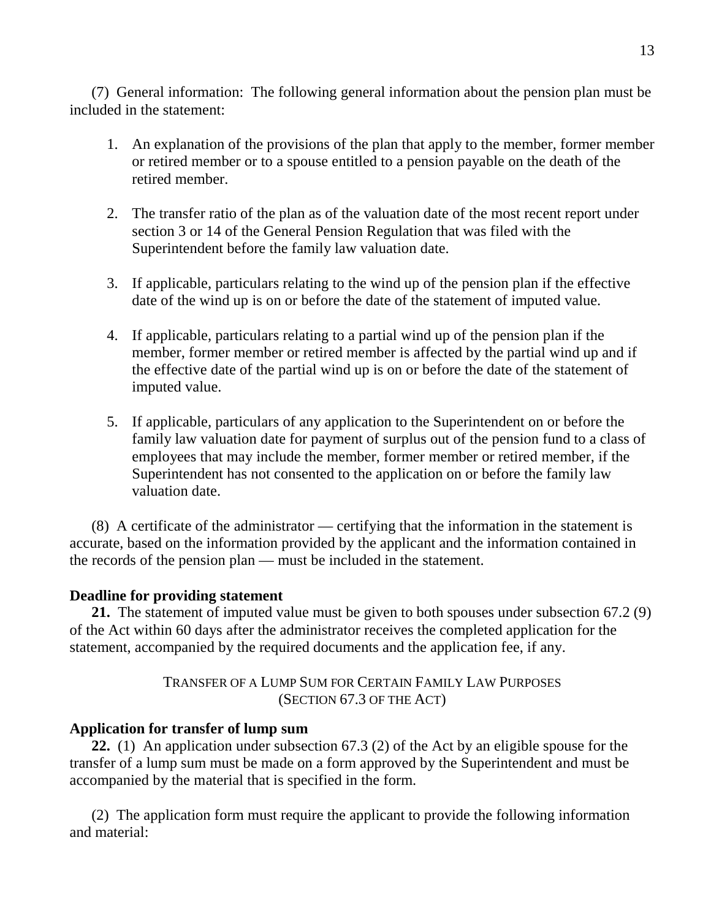included in the statement: (7) General information: The following general information about the pension plan must be

- or retired member or to a spouse entitled to a pension payable on the death of the retired member. 1. An explanation of the provisions of the plan that apply to the member, former member
- section 3 or 14 of the General Pension Regulation that was filed with the Superintendent before the family law valuation date. 2. The transfer ratio of the plan as of the valuation date of the most recent report under
- date of the wind up is on or before the date of the statement of imputed value. 3. If applicable, particulars relating to the wind up of the pension plan if the effective
- member, former member or retired member is affected by the partial wind up and if the effective date of the partial wind up is on or before the date of the statement of imputed value. 4. If applicable, particulars relating to a partial wind up of the pension plan if the
- family law valuation date for payment of surplus out of the pension fund to a class of employees that may include the member, former member or retired member, if the Superintendent has not consented to the application on or before the family law valuation date. 5. If applicable, particulars of any application to the Superintendent on or before the

 accurate, based on the information provided by the applicant and the information contained in the records of the pension plan — must be included in the statement. (8) A certificate of the administrator — certifying that the information in the statement is

## **Deadline for providing statement**

 **21.** The statement of imputed value must be given to both spouses under subsection 67.2 (9) of the Act within 60 days after the administrator receives the completed application for the statement, accompanied by the required documents and the application fee, if any.

> TRANSFER OF A LUMP SUM FOR CERTAIN FAMILY LAW PURPOSES (SECTION 67.3 OF THE ACT)

## **Application for transfer of lump sum**

 **22.** (1) An application under subsection 67.3 (2) of the Act by an eligible spouse for the transfer of a lump sum must be made on a form approved by the Superintendent and must be accompanied by the material that is specified in the form.

 and material: (2) The application form must require the applicant to provide the following information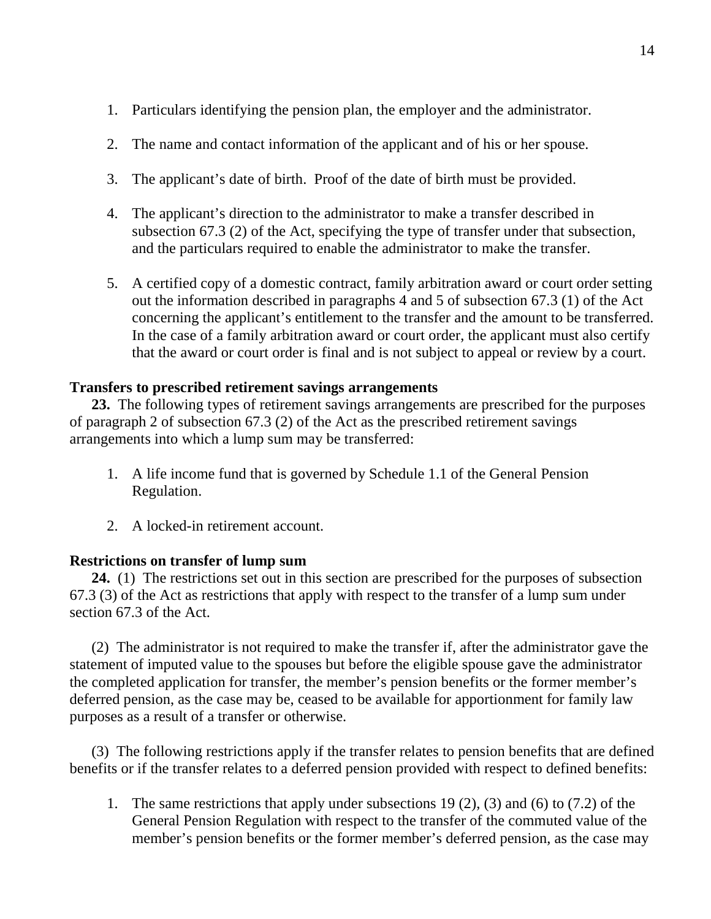- 1. Particulars identifying the pension plan, the employer and the administrator.
- 2. The name and contact information of the applicant and of his or her spouse.
- 3. The applicant's date of birth. Proof of the date of birth must be provided.
- subsection 67.3 (2) of the Act, specifying the type of transfer under that subsection, and the particulars required to enable the administrator to make the transfer. 4. The applicant's direction to the administrator to make a transfer described in
- out the information described in paragraphs 4 and 5 of subsection 67.3 (1) of the Act concerning the applicant's entitlement to the transfer and the amount to be transferred. In the case of a family arbitration award or court order, the applicant must also certify that the award or court order is final and is not subject to appeal or review by a court. 5. A certified copy of a domestic contract, family arbitration award or court order setting

# **Transfers to prescribed retirement savings arrangements**

 **23.** The following types of retirement savings arrangements are prescribed for the purposes of paragraph 2 of subsection 67.3 (2) of the Act as the prescribed retirement savings arrangements into which a lump sum may be transferred:

- 1. A life income fund that is governed by Schedule 1.1 of the General Pension Regulation.
- 2. A locked-in retirement account.

## **Restrictions on transfer of lump sum**

**24.** (1) The restrictions set out in this section are prescribed for the purposes of subsection 67.3 (3) of the Act as restrictions that apply with respect to the transfer of a lump sum under section 67.3 of the Act.

 statement of imputed value to the spouses but before the eligible spouse gave the administrator the completed application for transfer, the member's pension benefits or the former member's deferred pension, as the case may be, ceased to be available for apportionment for family law purposes as a result of a transfer or otherwise. (2) The administrator is not required to make the transfer if, after the administrator gave the

 benefits or if the transfer relates to a deferred pension provided with respect to defined benefits: (3) The following restrictions apply if the transfer relates to pension benefits that are defined

 General Pension Regulation with respect to the transfer of the commuted value of the member's pension benefits or the former member's deferred pension, as the case may 1. The same restrictions that apply under subsections 19 (2), (3) and (6) to (7.2) of the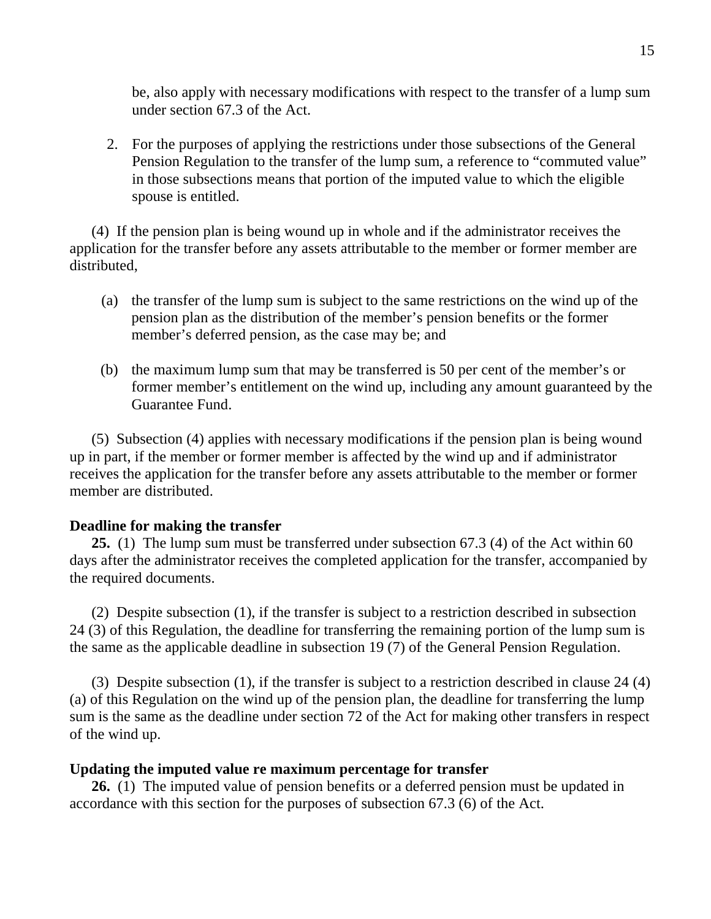be, also apply with necessary modifications with respect to the transfer of a lump sum under section 67.3 of the Act.

 Pension Regulation to the transfer of the lump sum, a reference to "commuted value" in those subsections means that portion of the imputed value to which the eligible spouse is entitled. 2. For the purposes of applying the restrictions under those subsections of the General

 application for the transfer before any assets attributable to the member or former member are distributed. (4) If the pension plan is being wound up in whole and if the administrator receives the

- pension plan as the distribution of the member's pension benefits or the former member's deferred pension, as the case may be; and (a) the transfer of the lump sum is subject to the same restrictions on the wind up of the
- former member's entitlement on the wind up, including any amount guaranteed by the Guarantee Fund. (b) the maximum lump sum that may be transferred is 50 per cent of the member's or

 up in part, if the member or former member is affected by the wind up and if administrator receives the application for the transfer before any assets attributable to the member or former member are distributed. (5) Subsection (4) applies with necessary modifications if the pension plan is being wound

## **Deadline for making the transfer**

25. (1) The lump sum must be transferred under subsection 67.3 (4) of the Act within 60 days after the administrator receives the completed application for the transfer, accompanied by the required documents.

 24 (3) of this Regulation, the deadline for transferring the remaining portion of the lump sum is the same as the applicable deadline in subsection 19 (7) of the General Pension Regulation. (2) Despite subsection (1), if the transfer is subject to a restriction described in subsection

 (a) of this Regulation on the wind up of the pension plan, the deadline for transferring the lump sum is the same as the deadline under section 72 of the Act for making other transfers in respect of the wind up. (3) Despite subsection (1), if the transfer is subject to a restriction described in clause 24 (4)

### **Updating the imputed value re maximum percentage for transfer**

26. (1) The imputed value of pension benefits or a deferred pension must be updated in accordance with this section for the purposes of subsection 67.3 (6) of the Act.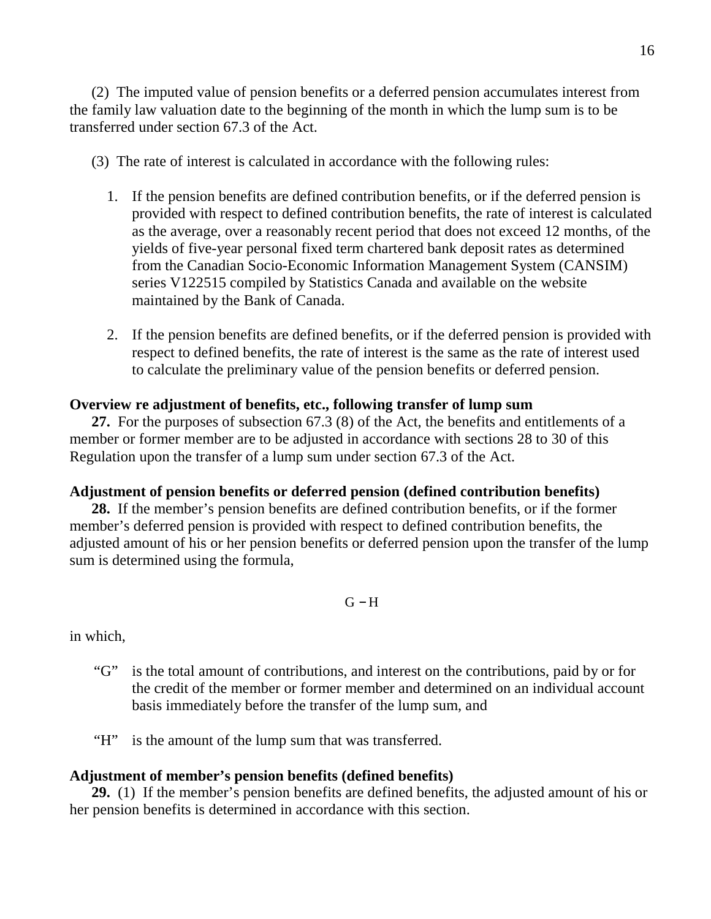the family law valuation date to the beginning of the month in which the lump sum is to be transferred under section 67.3 of the Act. (2) The imputed value of pension benefits or a deferred pension accumulates interest from

- (3) The rate of interest is calculated in accordance with the following rules:
	- provided with respect to defined contribution benefits, the rate of interest is calculated as the average, over a reasonably recent period that does not exceed 12 months, of the yields of five-year personal fixed term chartered bank deposit rates as determined from the Canadian Socio-Economic Information Management System (CANSIM) series V122515 compiled by Statistics Canada and available on the website maintained by the Bank of Canada. 1. If the pension benefits are defined contribution benefits, or if the deferred pension is
	- respect to defined benefits, the rate of interest is the same as the rate of interest used to calculate the preliminary value of the pension benefits or deferred pension. 2. If the pension benefits are defined benefits, or if the deferred pension is provided with

### **Overview re adjustment of benefits, etc., following transfer of lump sum**

 **27.** For the purposes of subsection 67.3 (8) of the Act, the benefits and entitlements of a member or former member are to be adjusted in accordance with sections 28 to 30 of this Regulation upon the transfer of a lump sum under section 67.3 of the Act.

### **Adjustment of pension benefits or deferred pension (defined contribution benefits)**

 **28.** If the member's pension benefits are defined contribution benefits, or if the former member's deferred pension is provided with respect to defined contribution benefits, the adjusted amount of his or her pension benefits or deferred pension upon the transfer of the lump sum is determined using the formula,

 $G - H$ 

in which,

- the credit of the member or former member and determined on an individual account basis immediately before the transfer of the lump sum, and "G" is the total amount of contributions, and interest on the contributions, paid by or for
- "H" is the amount of the lump sum that was transferred.

## **Adjustment of member's pension benefits (defined benefits)**

 **29.** (1) If the member's pension benefits are defined benefits, the adjusted amount of his or her pension benefits is determined in accordance with this section.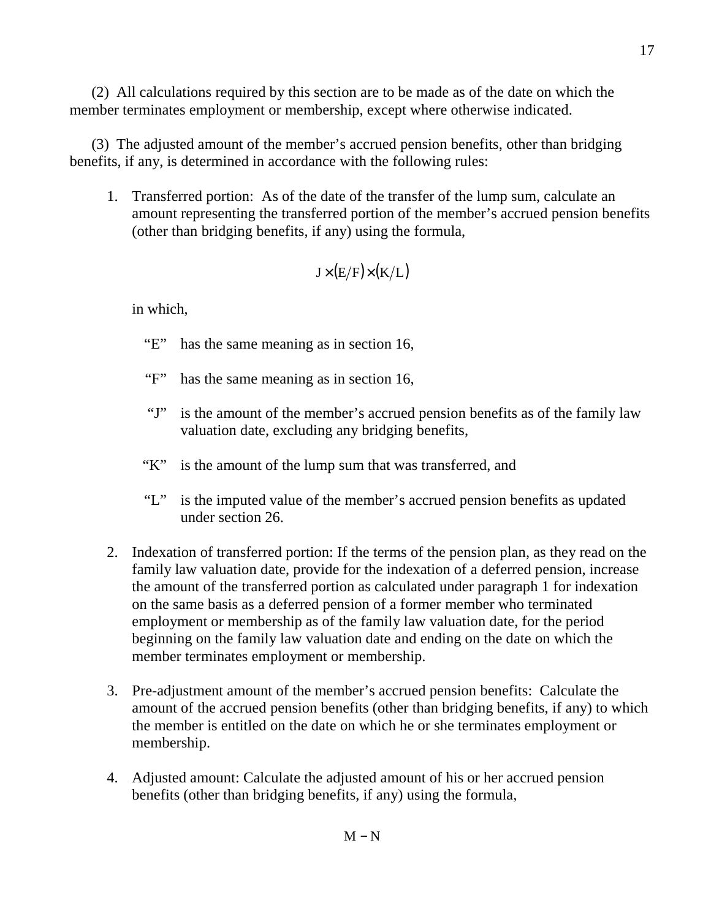member terminates employment or membership, except where otherwise indicated. (2) All calculations required by this section are to be made as of the date on which the

 benefits, if any, is determined in accordance with the following rules: (3) The adjusted amount of the member's accrued pension benefits, other than bridging

 amount representing the transferred portion of the member's accrued pension benefits (other than bridging benefits, if any) using the formula, 1. Transferred portion: As of the date of the transfer of the lump sum, calculate an

$$
J\!\times\!(E/F)\!\times\!(K/L)
$$

- "E" has the same meaning as in section 16,
- "F" has the same meaning as in section 16,
- $\mathbf{G}$ . valuation date, excluding any bridging benefits, is the amount of the member's accrued pension benefits as of the family law
- $K$ is the amount of the lump sum that was transferred, and
- $\mathcal{F}$   $\mathcal{F}'$  under section 26. is the imputed value of the member's accrued pension benefits as updated
- family law valuation date, provide for the indexation of a deferred pension, increase the amount of the transferred portion as calculated under paragraph 1 for indexation on the same basis as a deferred pension of a former member who terminated employment or membership as of the family law valuation date, for the period beginning on the family law valuation date and ending on the date on which the member terminates employment or membership. 2. Indexation of transferred portion: If the terms of the pension plan, as they read on the
- amount of the accrued pension benefits (other than bridging benefits, if any) to which the member is entitled on the date on which he or she terminates employment or 3. Pre-adjustment amount of the member's accrued pension benefits: Calculate the membership.
- benefits (other than bridging benefits, if any) using the formula, 4. Adjusted amount: Calculate the adjusted amount of his or her accrued pension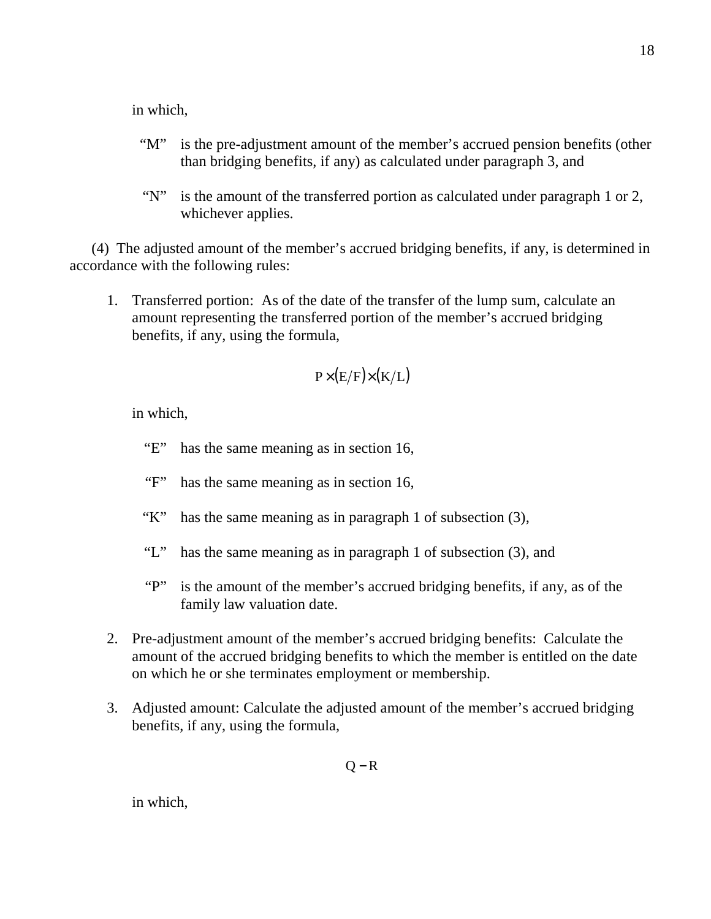in which,

- $\lq\lq M$ " than bridging benefits, if any) as calculated under paragraph 3, and is the pre-adjustment amount of the member's accrued pension benefits (other
- " $N$ " whichever applies. is the amount of the transferred portion as calculated under paragraph 1 or 2,

 accordance with the following rules: (4) The adjusted amount of the member's accrued bridging benefits, if any, is determined in

 amount representing the transferred portion of the member's accrued bridging benefits, if any, using the formula, 1. Transferred portion: As of the date of the transfer of the lump sum, calculate an

$$
P\times(E/F)\times(K/L)
$$

in which,

 $E$ has the same meaning as in section 16,

- $\mathbf{``F''}$ has the same meaning as in section 16,
- $K^{\prime\prime}$ has the same meaning as in paragraph 1 of subsection  $(3)$ ,
- "L" has the same meaning as in paragraph 1 of subsection (3), and
- $\mathbf{``P''}$  family law valuation date. is the amount of the member's accrued bridging benefits, if any, as of the
- amount of the accrued bridging benefits to which the member is entitled on the date on which he or she terminates employment or membership. 2. Pre-adjustment amount of the member's accrued bridging benefits: Calculate the
- benefits, if any, using the formula, 3. Adjusted amount: Calculate the adjusted amount of the member's accrued bridging

 $Q - R$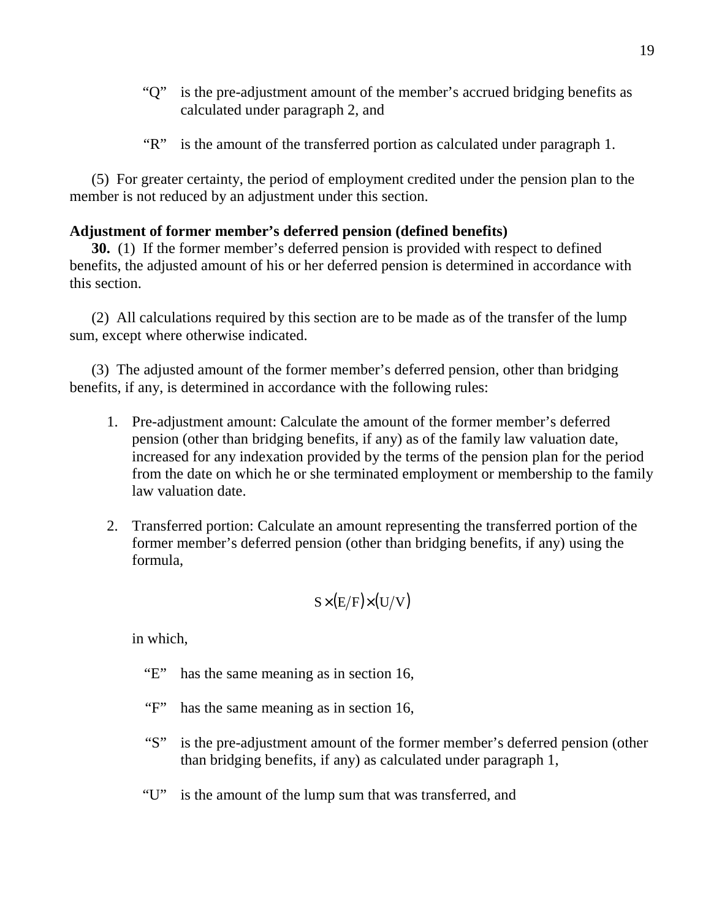- "Q" is the pre-adjustment amount of the member's accrued bridging benefits as calculated under paragraph 2, and
- " $R$ " is the amount of the transferred portion as calculated under paragraph 1.

 member is not reduced by an adjustment under this section. (5) For greater certainty, the period of employment credited under the pension plan to the

# **Adjustment of former member's deferred pension (defined benefits)**

**30.** (1) If the former member's deferred pension is provided with respect to defined benefits, the adjusted amount of his or her deferred pension is determined in accordance with this section.

 sum, except where otherwise indicated. (2) All calculations required by this section are to be made as of the transfer of the lump

 benefits, if any, is determined in accordance with the following rules: (3) The adjusted amount of the former member's deferred pension, other than bridging

- pension (other than bridging benefits, if any) as of the family law valuation date, increased for any indexation provided by the terms of the pension plan for the period from the date on which he or she terminated employment or membership to the family law valuation date. 1. Pre-adjustment amount: Calculate the amount of the former member's deferred
- former member's deferred pension (other than bridging benefits, if any) using the 2. Transferred portion: Calculate an amount representing the transferred portion of the formula,

$$
S\times(E/F)\times(U/V)
$$

- "E" has the same meaning as in section 16,
- $\lq\lq F$ has the same meaning as in section 16,
- $``S"$  than bridging benefits, if any) as calculated under paragraph 1, is the pre-adjustment amount of the former member's deferred pension (other
- $\lq\lq\lq\lq\lq\lq\lq\lq\lq\lq\lq\lq\lq$ is the amount of the lump sum that was transferred, and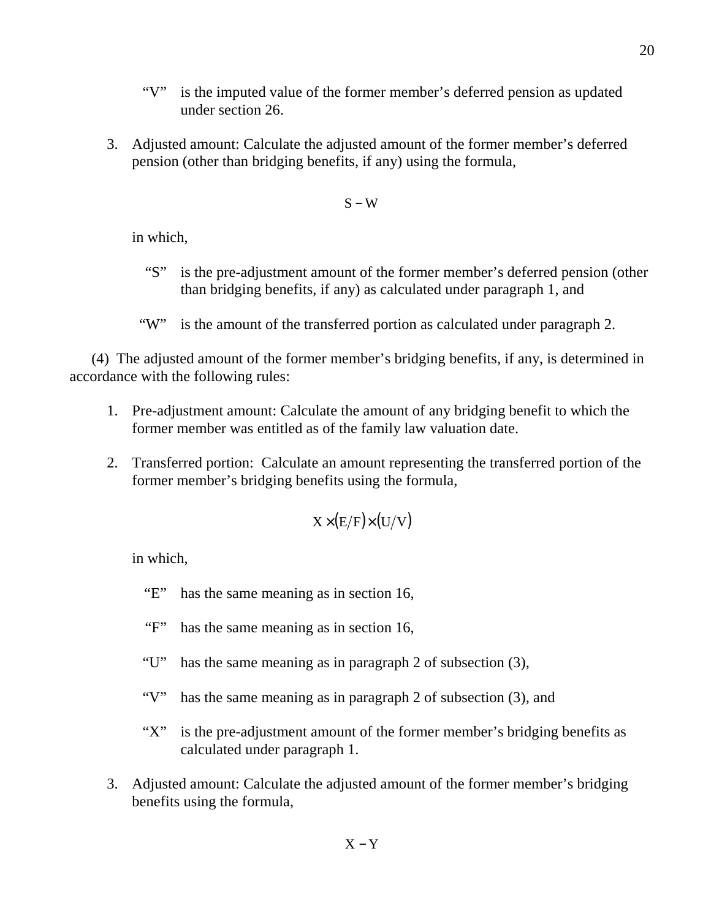- "V" is the imputed value of the former member's deferred pension as updated under section 26.
- pension (other than bridging benefits, if any) using the formula, 3. Adjusted amount: Calculate the adjusted amount of the former member's deferred

### $S - W$

in which,

- "S" is the pre-adjustment amount of the former member's deferred pension (other than bridging benefits, if any) as calculated under paragraph 1, and
- "W" is the amount of the transferred portion as calculated under paragraph 2.

 accordance with the following rules: (4) The adjusted amount of the former member's bridging benefits, if any, is determined in

- former member was entitled as of the family law valuation date. 1. Pre-adjustment amount: Calculate the amount of any bridging benefit to which the
- former member's bridging benefits using the formula, 2. Transferred portion: Calculate an amount representing the transferred portion of the

$$
X\times(E/F)\times(U/V)
$$

- $E^*$ has the same meaning as in section 16,
- $\lq\lq F$ has the same meaning as in section 16,
- "U" has the same meaning as in paragraph 2 of subsection (3),
- "V" has the same meaning as in paragraph 2 of subsection (3), and
- $``X"$  calculated under paragraph 1. is the pre-adjustment amount of the former member's bridging benefits as
- benefits using the formula, 3. Adjusted amount: Calculate the adjusted amount of the former member's bridging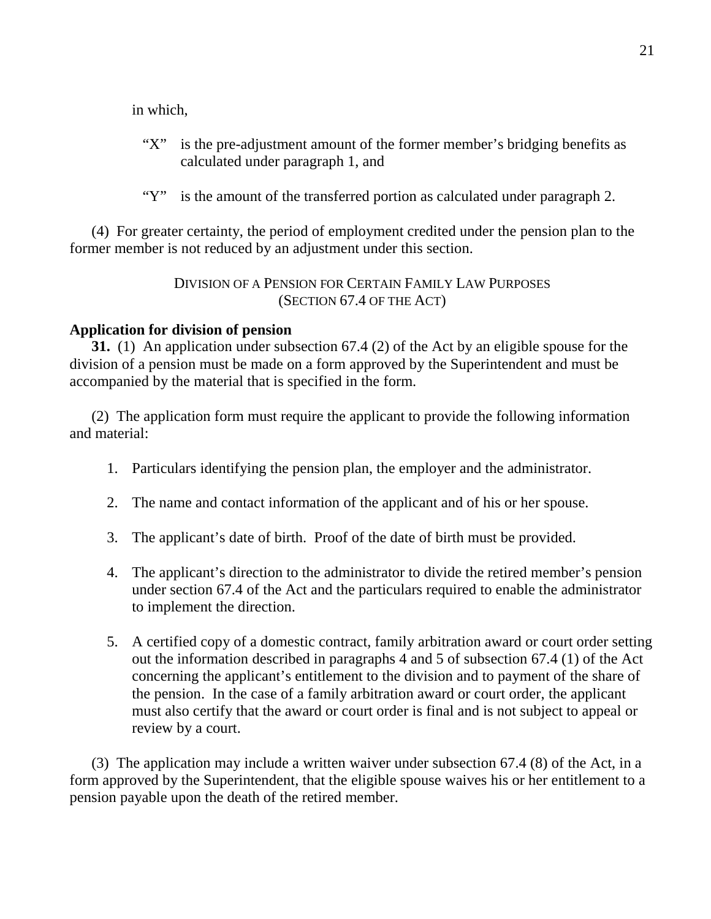in which,

- $"X"$  calculated under paragraph 1, and is the pre-adjustment amount of the former member's bridging benefits as
- "Y" is the amount of the transferred portion as calculated under paragraph 2.

 former member is not reduced by an adjustment under this section. (4) For greater certainty, the period of employment credited under the pension plan to the

> DIVISION OF A PENSION FOR CERTAIN FAMILY LAW PURPOSES (SECTION 67.4 OF THE ACT)

### **Application for division of pension**

**31.** (1) An application under subsection 67.4 (2) of the Act by an eligible spouse for the division of a pension must be made on a form approved by the Superintendent and must be accompanied by the material that is specified in the form.

 and material: (2) The application form must require the applicant to provide the following information

- 1. Particulars identifying the pension plan, the employer and the administrator.
- 2. The name and contact information of the applicant and of his or her spouse.
- 3. The applicant's date of birth. Proof of the date of birth must be provided.
- under section 67.4 of the Act and the particulars required to enable the administrator to implement the direction. 4. The applicant's direction to the administrator to divide the retired member's pension
- out the information described in paragraphs 4 and 5 of subsection 67.4 (1) of the Act concerning the applicant's entitlement to the division and to payment of the share of the pension. In the case of a family arbitration award or court order, the applicant must also certify that the award or court order is final and is not subject to appeal or review by a court. 5. A certified copy of a domestic contract, family arbitration award or court order setting

 form approved by the Superintendent, that the eligible spouse waives his or her entitlement to a pension payable upon the death of the retired member. (3) The application may include a written waiver under subsection 67.4 (8) of the Act, in a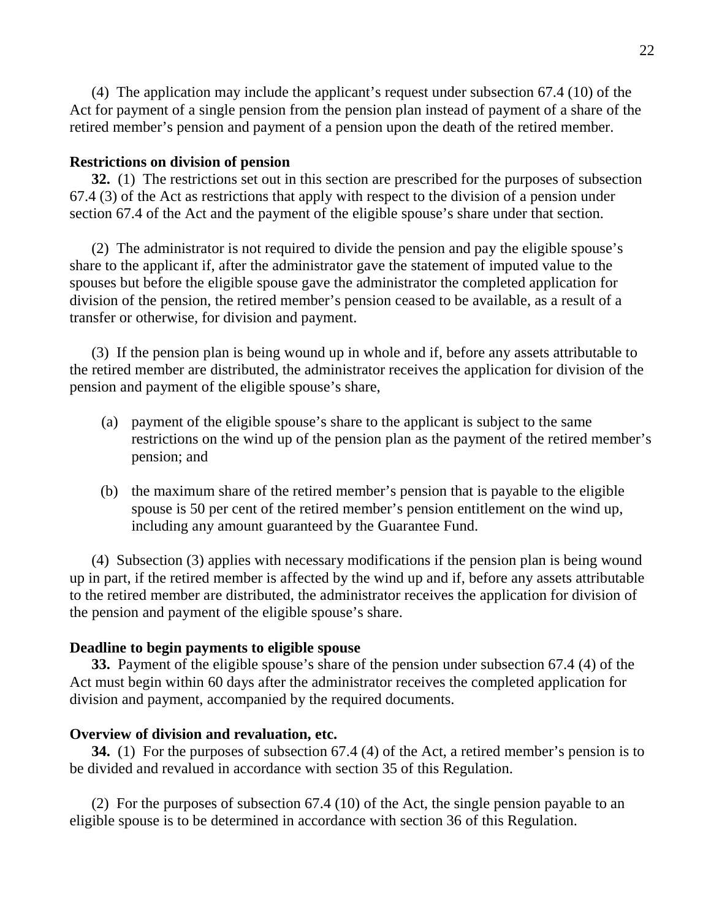Act for payment of a single pension from the pension plan instead of payment of a share of the retired member's pension and payment of a pension upon the death of the retired member. (4) The application may include the applicant's request under subsection 67.4 (10) of the

### **Restrictions on division of pension**

**32.** (1) The restrictions set out in this section are prescribed for the purposes of subsection 67.4 (3) of the Act as restrictions that apply with respect to the division of a pension under section 67.4 of the Act and the payment of the eligible spouse's share under that section.

 share to the applicant if, after the administrator gave the statement of imputed value to the spouses but before the eligible spouse gave the administrator the completed application for division of the pension, the retired member's pension ceased to be available, as a result of a transfer or otherwise, for division and payment. (2) The administrator is not required to divide the pension and pay the eligible spouse's

 the retired member are distributed, the administrator receives the application for division of the pension and payment of the eligible spouse's share, (3) If the pension plan is being wound up in whole and if, before any assets attributable to

- restrictions on the wind up of the pension plan as the payment of the retired member's pension; and (a) payment of the eligible spouse's share to the applicant is subject to the same
- spouse is 50 per cent of the retired member's pension entitlement on the wind up, including any amount guaranteed by the Guarantee Fund. (b) the maximum share of the retired member's pension that is payable to the eligible

 up in part, if the retired member is affected by the wind up and if, before any assets attributable to the retired member are distributed, the administrator receives the application for division of the pension and payment of the eligible spouse's share. (4) Subsection (3) applies with necessary modifications if the pension plan is being wound

### **Deadline to begin payments to eligible spouse**

**33.** Payment of the eligible spouse's share of the pension under subsection 67.4 (4) of the Act must begin within 60 days after the administrator receives the completed application for division and payment, accompanied by the required documents.

#### **Overview of division and revaluation, etc.**

**34.** (1) For the purposes of subsection 67.4 (4) of the Act, a retired member's pension is to be divided and revalued in accordance with section 35 of this Regulation.

 eligible spouse is to be determined in accordance with section 36 of this Regulation. (2) For the purposes of subsection 67.4 (10) of the Act, the single pension payable to an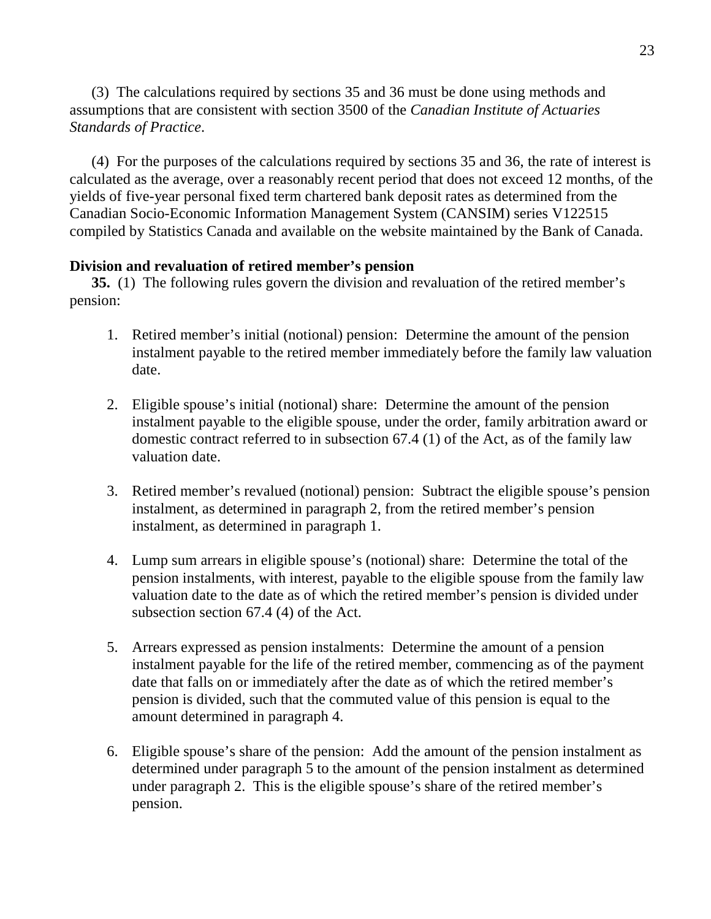assumptions that are consistent with section 3500 of the *Canadian Institute of Actuaries Standards of Practice*. (3) The calculations required by sections 35 and 36 must be done using methods and

 calculated as the average, over a reasonably recent period that does not exceed 12 months, of the yields of five-year personal fixed term chartered bank deposit rates as determined from the Canadian Socio-Economic Information Management System (CANSIM) series V122515 compiled by Statistics Canada and available on the website maintained by the Bank of Canada. (4) For the purposes of the calculations required by sections 35 and 36, the rate of interest is

## **Division and revaluation of retired member's pension**

 **35.** (1) The following rules govern the division and revaluation of the retired member's pension:

- instalment payable to the retired member immediately before the family law valuation 1. Retired member's initial (notional) pension: Determine the amount of the pension date.
- instalment payable to the eligible spouse, under the order, family arbitration award or domestic contract referred to in subsection 67.4 (1) of the Act, as of the family law valuation date. 2. Eligible spouse's initial (notional) share: Determine the amount of the pension
- instalment, as determined in paragraph 2, from the retired member's pension instalment, as determined in paragraph 1. 3. Retired member's revalued (notional) pension: Subtract the eligible spouse's pension
- pension instalments, with interest, payable to the eligible spouse from the family law valuation date to the date as of which the retired member's pension is divided under subsection section 67.4 (4) of the Act. 4. Lump sum arrears in eligible spouse's (notional) share: Determine the total of the
- instalment payable for the life of the retired member, commencing as of the payment date that falls on or immediately after the date as of which the retired member's pension is divided, such that the commuted value of this pension is equal to the amount determined in paragraph 4. 5. Arrears expressed as pension instalments: Determine the amount of a pension
- determined under paragraph 5 to the amount of the pension instalment as determined under paragraph 2. This is the eligible spouse's share of the retired member's 6. Eligible spouse's share of the pension: Add the amount of the pension instalment as pension.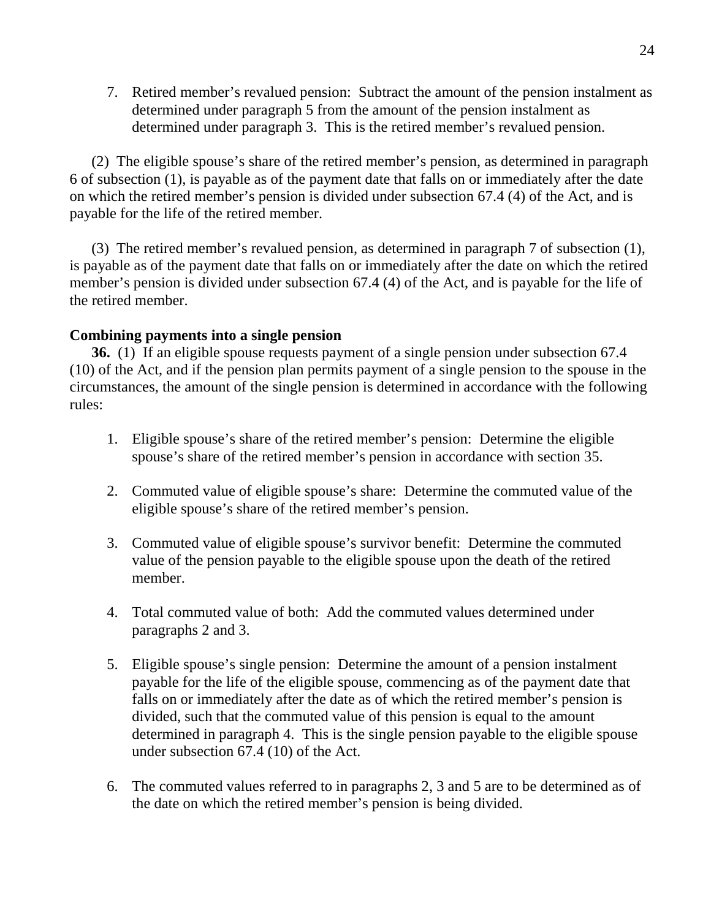determined under paragraph 5 from the amount of the pension instalment as determined under paragraph 3. This is the retired member's revalued pension. 7. Retired member's revalued pension: Subtract the amount of the pension instalment as

 6 of subsection (1), is payable as of the payment date that falls on or immediately after the date on which the retired member's pension is divided under subsection 67.4 (4) of the Act, and is payable for the life of the retired member. (2) The eligible spouse's share of the retired member's pension, as determined in paragraph

 is payable as of the payment date that falls on or immediately after the date on which the retired member's pension is divided under subsection 67.4 (4) of the Act, and is payable for the life of the retired member. (3) The retired member's revalued pension, as determined in paragraph 7 of subsection (1),

### **Combining payments into a single pension**

**36.** (1) If an eligible spouse requests payment of a single pension under subsection 67.4 (10) of the Act, and if the pension plan permits payment of a single pension to the spouse in the circumstances, the amount of the single pension is determined in accordance with the following rules:

- spouse's share of the retired member's pension in accordance with section 35. 1. Eligible spouse's share of the retired member's pension: Determine the eligible
- eligible spouse's share of the retired member's pension. 2. Commuted value of eligible spouse's share: Determine the commuted value of the
- value of the pension payable to the eligible spouse upon the death of the retired 3. Commuted value of eligible spouse's survivor benefit: Determine the commuted member.
- paragraphs 2 and 3. 4. Total commuted value of both: Add the commuted values determined under
- payable for the life of the eligible spouse, commencing as of the payment date that falls on or immediately after the date as of which the retired member's pension is divided, such that the commuted value of this pension is equal to the amount determined in paragraph 4. This is the single pension payable to the eligible spouse under subsection 67.4 (10) of the Act. 5. Eligible spouse's single pension: Determine the amount of a pension instalment
- the date on which the retired member's pension is being divided. 6. The commuted values referred to in paragraphs 2, 3 and 5 are to be determined as of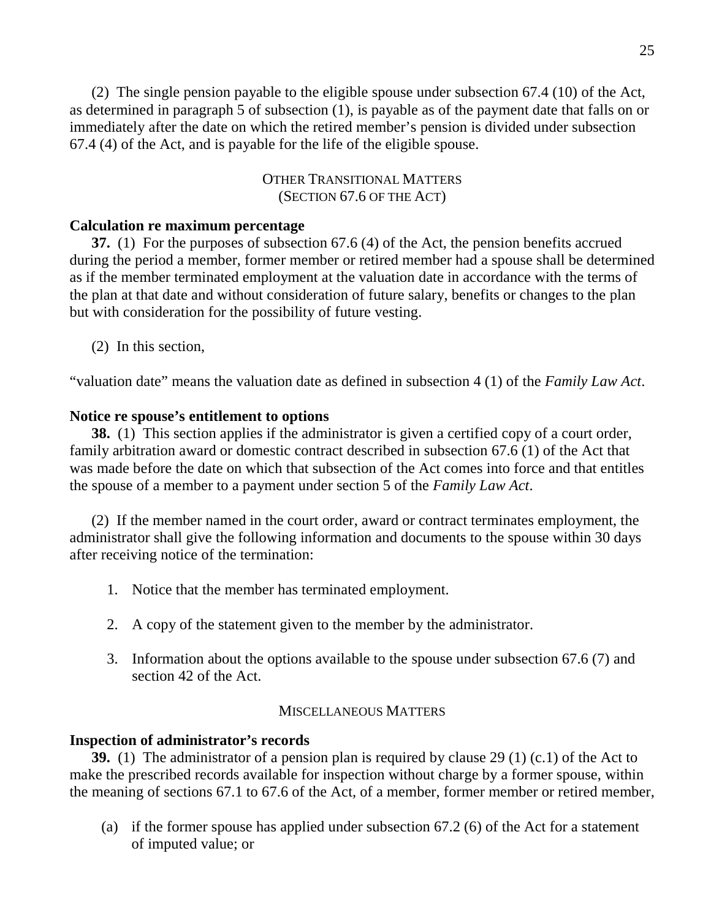as determined in paragraph 5 of subsection (1), is payable as of the payment date that falls on or immediately after the date on which the retired member's pension is divided under subsection 67.4 (4) of the Act, and is payable for the life of the eligible spouse. (2) The single pension payable to the eligible spouse under subsection 67.4 (10) of the Act,

> (SECTION 67.6 OF THE ACT) OTHER TRANSITIONAL MATTERS

### **Calculation re maximum percentage**

**37.** (1) For the purposes of subsection 67.6 (4) of the Act, the pension benefits accrued during the period a member, former member or retired member had a spouse shall be determined as if the member terminated employment at the valuation date in accordance with the terms of the plan at that date and without consideration of future salary, benefits or changes to the plan but with consideration for the possibility of future vesting.

(2) In this section,

"valuation date" means the valuation date as defined in subsection 4 (1) of the *Family Law Act*.

## **Notice re spouse's entitlement to options**

**38.** (1) This section applies if the administrator is given a certified copy of a court order, family arbitration award or domestic contract described in subsection 67.6 (1) of the Act that was made before the date on which that subsection of the Act comes into force and that entitles the spouse of a member to a payment under section 5 of the *Family Law Act*.

 administrator shall give the following information and documents to the spouse within 30 days after receiving notice of the termination: (2) If the member named in the court order, award or contract terminates employment, the

- 1. Notice that the member has terminated employment.
- 2. A copy of the statement given to the member by the administrator.
- section 42 of the Act. 3. Information about the options available to the spouse under subsection 67.6 (7) and

#### MISCELLANEOUS MATTERS

### **Inspection of administrator's records**

**39.** (1) The administrator of a pension plan is required by clause 29 (1) (c.1) of the Act to make the prescribed records available for inspection without charge by a former spouse, within the meaning of sections 67.1 to 67.6 of the Act, of a member, former member or retired member,

 of imputed value; or (a) if the former spouse has applied under subsection  $67.2$  (6) of the Act for a statement